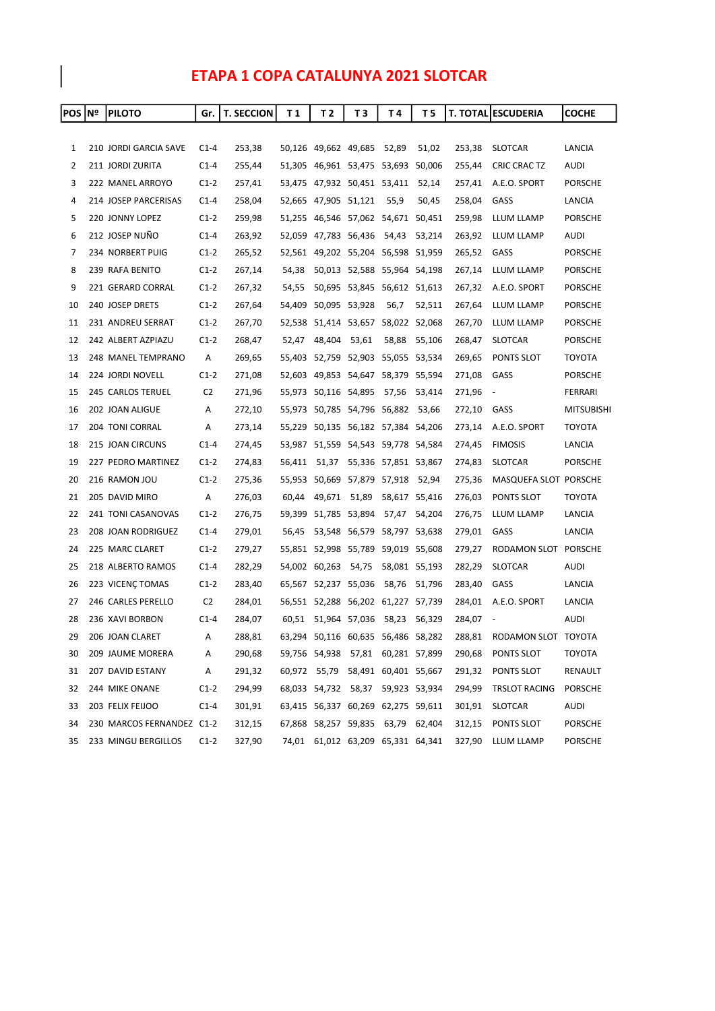## ETAPA 1 COPA CATALUNYA 2021 SLOTCAR

| POS   Nº | <b>PILOTO</b>             | Gr.            | <b>T. SECCION</b> | T 1    | T 2                                | T <sub>3</sub> | Τ4                          | T 5                               |        | <b>T. TOTAL ESCUDERIA</b> | COCHE             |
|----------|---------------------------|----------------|-------------------|--------|------------------------------------|----------------|-----------------------------|-----------------------------------|--------|---------------------------|-------------------|
|          |                           |                |                   |        |                                    |                |                             |                                   |        |                           |                   |
| 1        | 210 JORDI GARCIA SAVE     | $C1-4$         | 253,38            |        | 50,126 49,662 49,685 52,89         |                |                             | 51,02                             | 253,38 | <b>SLOTCAR</b>            | <b>LANCIA</b>     |
| 2        | 211 JORDI ZURITA          | $C1-4$         | 255,44            |        | 51,305 46,961 53,475 53,693 50,006 |                |                             |                                   | 255,44 | CRIC CRAC TZ              | AUDI              |
| 3        | 222 MANEL ARROYO          | $C1-2$         | 257,41            |        | 53,475 47,932 50,451 53,411 52,14  |                |                             |                                   | 257,41 | A.E.O. SPORT              | <b>PORSCHE</b>    |
| 4        | 214 JOSEP PARCERISAS      | $C1-4$         | 258,04            |        | 52,665 47,905 51,121               |                | 55,9                        | 50,45                             | 258,04 | GASS                      | LANCIA            |
| 5        | 220 JONNY LOPEZ           | $C1-2$         | 259,98            |        | 51,255 46,546 57,062 54,671 50,451 |                |                             |                                   | 259,98 | LLUM LLAMP                | <b>PORSCHE</b>    |
| 6        | 212 JOSEP NUÑO            | $C1-4$         | 263,92            |        | 52,059 47,783 56,436               |                | 54,43                       | 53,214                            | 263,92 | LLUM LLAMP                | AUDI              |
| 7        | 234 NORBERT PUIG          | $C1-2$         | 265,52            |        | 52,561 49,202 55,204 56,598 51,959 |                |                             |                                   | 265,52 | GASS                      | <b>PORSCHE</b>    |
| 8        | 239 RAFA BENITO           | $C1-2$         | 267,14            | 54,38  |                                    |                | 50,013 52,588 55,964 54,198 |                                   | 267,14 | LLUM LLAMP                | <b>PORSCHE</b>    |
| 9        | 221 GERARD CORRAL         | $C1-2$         | 267,32            | 54,55  |                                    |                | 50,695 53,845 56,612 51,613 |                                   | 267,32 | A.E.O. SPORT              | <b>PORSCHE</b>    |
| 10       | 240 JOSEP DRETS           | $C1-2$         | 267,64            |        | 54,409 50,095 53,928               |                | 56,7                        | 52,511                            | 267,64 | LLUM LLAMP                | <b>PORSCHE</b>    |
| 11       | 231 ANDREU SERRAT         | $C1-2$         | 267,70            |        | 52,538 51,414 53,657 58,022 52,068 |                |                             |                                   | 267,70 | LLUM LLAMP                | <b>PORSCHE</b>    |
| 12       | 242 ALBERT AZPIAZU        | $C1-2$         | 268,47            | 52,47  | 48,404                             | 53,61          | 58,88                       | 55,106                            | 268,47 | <b>SLOTCAR</b>            | <b>PORSCHE</b>    |
| 13       | 248 MANEL TEMPRANO        | Α              | 269,65            |        | 55,403 52,759 52,903 55,055 53,534 |                |                             |                                   | 269,65 | PONTS SLOT                | TOYOTA            |
| 14       | 224 JORDI NOVELL          | $C1-2$         | 271,08            |        | 52,603 49,853 54,647 58,379 55,594 |                |                             |                                   | 271,08 | GASS                      | <b>PORSCHE</b>    |
| 15       | 245 CARLOS TERUEL         | C <sub>2</sub> | 271,96            |        | 55,973 50,116 54,895               |                | 57,56                       | 53,414                            | 271,96 | $\overline{\phantom{a}}$  | FERRARI           |
| 16       | 202 JOAN ALIGUE           | A              | 272,10            |        | 55,973 50,785 54,796 56,882 53,66  |                |                             |                                   | 272,10 | GASS                      | <b>MITSUBISHI</b> |
| 17       | 204 TONI CORRAL           | Α              | 273,14            |        | 55,229 50,135 56,182 57,384 54,206 |                |                             |                                   | 273,14 | A.E.O. SPORT              | TOYOTA            |
| 18       | 215 JOAN CIRCUNS          | $C1-4$         | 274,45            |        | 53,987 51,559 54,543 59,778 54,584 |                |                             |                                   | 274,45 | <b>FIMOSIS</b>            | LANCIA            |
| 19       | 227 PEDRO MARTINEZ        | $C1-2$         | 274,83            | 56,411 | 51,37                              |                | 55,336 57,851 53,867        |                                   | 274,83 | <b>SLOTCAR</b>            | <b>PORSCHE</b>    |
| 20       | 216 RAMON JOU             | $C1-2$         | 275,36            |        | 55,953 50,669 57,879 57,918 52,94  |                |                             |                                   | 275,36 | MASQUEFA SLOT PORSCHE     |                   |
| 21       | 205 DAVID MIRO            | A              | 276,03            | 60,44  | 49,671 51,89                       |                |                             | 58,617 55,416                     | 276,03 | PONTS SLOT                | <b>TOYOTA</b>     |
| 22       | 241 TONI CASANOVAS        | $C1-2$         | 276,75            |        | 59,399 51,785 53,894               |                |                             | 57,47 54,204                      | 276,75 | LLUM LLAMP                | LANCIA            |
| 23       | 208 JOAN RODRIGUEZ        | $C1-4$         | 279,01            | 56,45  |                                    |                | 53,548 56,579 58,797 53,638 |                                   | 279,01 | GASS                      | LANCIA            |
| 24       | 225 MARC CLARET           | $C1-2$         | 279,27            |        | 55,851 52,998 55,789 59,019 55,608 |                |                             |                                   | 279,27 | RODAMON SLOT PORSCHE      |                   |
| 25       | 218 ALBERTO RAMOS         | $C1-4$         | 282,29            |        | 54,002 60,263                      | 54,75          |                             | 58,081 55,193                     | 282,29 | <b>SLOTCAR</b>            | AUDI              |
| 26       | 223 VICENÇ TOMAS          | $C1-2$         | 283,40            |        | 65,567 52,237 55,036               |                | 58,76                       | 51,796                            | 283,40 | GASS                      | LANCIA            |
| 27       | 246 CARLES PERELLO        | C <sub>2</sub> | 284,01            |        | 56,551 52,288 56,202 61,227 57,739 |                |                             |                                   | 284,01 | A.E.O. SPORT              | LANCIA            |
| 28       | 236 XAVI BORBON           | $C1-4$         | 284,07            |        | 60,51 51,964 57,036 58,23          |                |                             | 56,329                            | 284,07 | $\overline{\phantom{a}}$  | AUDI              |
| 29       | 206 JOAN CLARET           | Α              | 288,81            |        | 63,294 50,116 60,635 56,486 58,282 |                |                             |                                   | 288,81 | RODAMON SLOT TOYOTA       |                   |
| 30       | 209 JAUME MORERA          | Α              | 290,68            |        | 59,756 54,938 57,81 60,281 57,899  |                |                             |                                   | 290,68 | PONTS SLOT                | ΤΟΥΟΤΑ            |
| 31       | 207 DAVID ESTANY          | Α              | 291,32            |        |                                    |                |                             | 60,972 55,79 58,491 60,401 55,667 | 291,32 | PONTS SLOT                | RENAULT           |
| 32       | 244 MIKE ONANE            | $C1-2$         | 294,99            |        | 68,033 54,732 58,37 59,923 53,934  |                |                             |                                   | 294,99 | <b>TRSLOT RACING</b>      | <b>PORSCHE</b>    |
| 33       | 203 FELIX FEIJOO          | $C1-4$         | 301,91            |        | 63,415 56,337 60,269 62,275 59,611 |                |                             |                                   | 301,91 | <b>SLOTCAR</b>            | AUDI              |
| 34       | 230 MARCOS FERNANDEZ C1-2 |                | 312,15            |        | 67,868 58,257 59,835 63,79 62,404  |                |                             |                                   | 312,15 | PONTS SLOT                | <b>PORSCHE</b>    |
| 35       | 233 MINGU BERGILLOS       | $C1-2$         | 327,90            |        | 74,01 61,012 63,209 65,331 64,341  |                |                             |                                   | 327,90 | LLUM LLAMP                | <b>PORSCHE</b>    |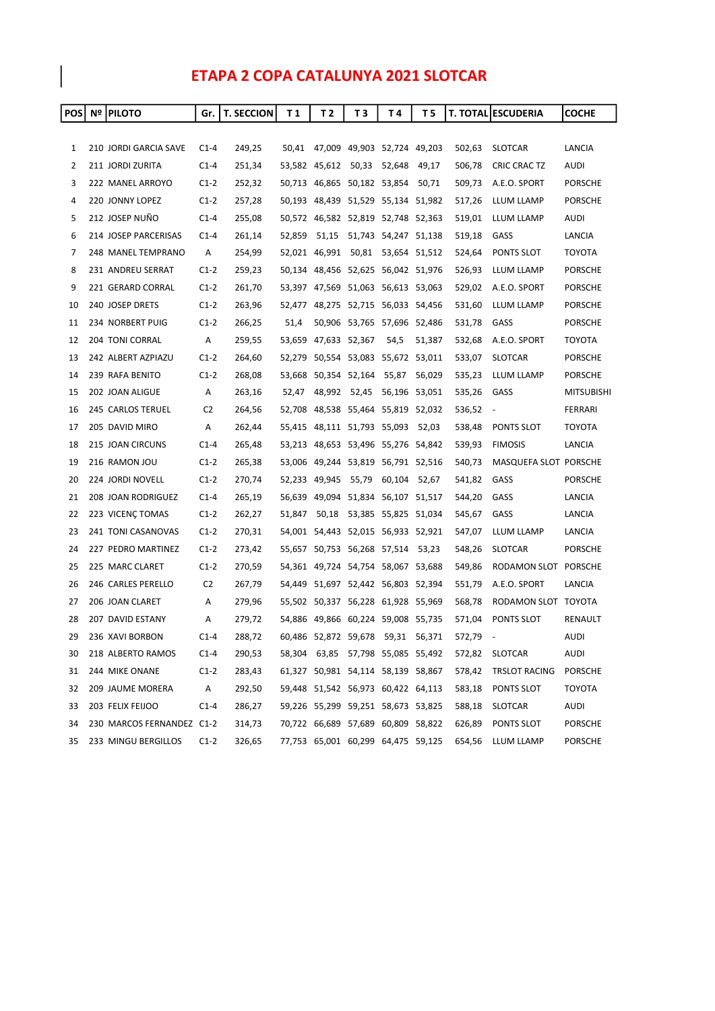## ETAPA 2 COPA CATALUNYA 2021 SLOTCAR

| <b>POS</b> | <b>Nº PILOTO</b>          | Gr.            | <b>T. SECCION</b> | T 1    | T 2                         | ТЗ    | Τ4                                 | T 5    |        | <b>T. TOTAL ESCUDERIA</b> | <b>COCHE</b>      |
|------------|---------------------------|----------------|-------------------|--------|-----------------------------|-------|------------------------------------|--------|--------|---------------------------|-------------------|
|            |                           |                |                   |        |                             |       |                                    |        |        |                           |                   |
| 1          | 210 JORDI GARCIA SAVE     | $C1-4$         | 249,25            |        |                             |       | 50,41 47,009 49,903 52,724 49,203  |        | 502,63 | <b>SLOTCAR</b>            | LANCIA            |
| 2          | 211 JORDI ZURITA          | $C1-4$         | 251,34            |        | 53,582 45,612               | 50,33 | 52,648                             | 49,17  | 506,78 | CRIC CRAC TZ              | AUDI              |
| 3          | 222 MANEL ARROYO          | $C1-2$         | 252,32            |        | 50,713 46,865 50,182 53,854 |       |                                    | 50,71  | 509,73 | A.E.O. SPORT              | <b>PORSCHE</b>    |
| 4          | 220 JONNY LOPEZ           | $C1-2$         | 257,28            |        |                             |       | 50,193 48,439 51,529 55,134 51,982 |        | 517,26 | LLUM LLAMP                | <b>PORSCHE</b>    |
| 5          | 212 JOSEP NUÑO            | $C1-4$         | 255,08            |        |                             |       | 50,572 46,582 52,819 52,748 52,363 |        | 519,01 | LLUM LLAMP                | AUDI              |
| 6          | 214 JOSEP PARCERISAS      | $C1-4$         | 261,14            | 52.859 | 51,15                       |       | 51,743 54,247 51,138               |        | 519,18 | GASS                      | LANCIA            |
| 7          | 248 MANEL TEMPRANO        | Α              | 254,99            |        |                             |       | 52,021 46,991 50,81 53,654 51,512  |        | 524,64 | PONTS SLOT                | <b>TOYOTA</b>     |
| 8          | 231 ANDREU SERRAT         | $C1-2$         | 259,23            |        |                             |       | 50,134 48,456 52,625 56,042 51,976 |        | 526,93 | LLUM LLAMP                | <b>PORSCHE</b>    |
| 9          | 221 GERARD CORRAL         | $C1-2$         | 261,70            |        |                             |       | 53,397 47,569 51,063 56,613 53,063 |        | 529,02 | A.E.O. SPORT              | <b>PORSCHE</b>    |
| 10         | 240 JOSEP DRETS           | $C1-2$         | 263,96            |        |                             |       | 52,477 48,275 52,715 56,033 54,456 |        | 531,60 | LLUM LLAMP                | <b>PORSCHE</b>    |
| 11         | 234 NORBERT PUIG          | $C1-2$         | 266,25            | 51,4   |                             |       | 50,906 53,765 57,696 52,486        |        | 531,78 | GASS                      | <b>PORSCHE</b>    |
| 12         | 204 TONI CORRAL           | Α              | 259,55            |        | 53,659 47,633 52,367        |       | 54,5                               | 51,387 | 532,68 | A.E.O. SPORT              | TOYOTA            |
| 13         | 242 ALBERT AZPIAZU        | $C1-2$         | 264,60            |        |                             |       | 52,279 50,554 53,083 55,672 53,011 |        | 533,07 | <b>SLOTCAR</b>            | <b>PORSCHE</b>    |
| 14         | 239 RAFA BENITO           | $C1-2$         | 268,08            |        | 53,668 50,354 52,164        |       | 55,87                              | 56,029 | 535,23 | LLUM LLAMP                | <b>PORSCHE</b>    |
| 15         | 202 JOAN ALIGUE           | Α              | 263,16            | 52.47  | 48,992                      | 52,45 | 56,196 53,051                      |        | 535,26 | GASS                      | <b>MITSUBISHI</b> |
| 16         | 245 CARLOS TERUEL         | C <sub>2</sub> | 264,56            |        |                             |       | 52,708 48,538 55,464 55,819 52,032 |        | 536,52 | $\overline{\phantom{a}}$  | FERRARI           |
| 17         | 205 DAVID MIRO            | Α              | 262,44            |        |                             |       | 55,415 48,111 51,793 55,093 52,03  |        | 538,48 | PONTS SLOT                | <b>TOYOTA</b>     |
| 18         | 215 JOAN CIRCUNS          | $C1-4$         | 265,48            |        |                             |       | 53,213 48,653 53,496 55,276 54,842 |        | 539,93 | <b>FIMOSIS</b>            | LANCIA            |
| 19         | 216 RAMON JOU             | $C1-2$         | 265,38            |        |                             |       | 53,006 49,244 53,819 56,791 52,516 |        | 540,73 | MASQUEFA SLOT PORSCHE     |                   |
| 20         | 224 JORDI NOVELL          | $C1-2$         | 270,74            |        | 52,233 49,945               | 55,79 | 60,104 52,67                       |        | 541,82 | GASS                      | <b>PORSCHE</b>    |
| 21         | 208 JOAN RODRIGUEZ        | $C1-4$         | 265,19            |        |                             |       | 56,639 49,094 51,834 56,107 51,517 |        | 544,20 | GASS                      | LANCIA            |
| 22         | 223 VICENÇ TOMAS          | $C1-2$         | 262,27            | 51,847 | 50,18                       |       | 53,385 55,825 51,034               |        | 545,67 | GASS                      | LANCIA            |
| 23         | 241 TONI CASANOVAS        | $C1-2$         | 270,31            |        |                             |       | 54,001 54,443 52,015 56,933 52,921 |        | 547,07 | LLUM LLAMP                | LANCIA            |
| 24         | 227 PEDRO MARTINEZ        | $C1-2$         | 273,42            |        |                             |       | 55,657 50,753 56,268 57,514 53,23  |        | 548,26 | <b>SLOTCAR</b>            | <b>PORSCHE</b>    |
| 25         | 225 MARC CLARET           | $C1-2$         | 270,59            |        |                             |       | 54,361 49,724 54,754 58,067 53,688 |        | 549,86 | RODAMON SLOT PORSCHE      |                   |
| 26         | 246 CARLES PERELLO        | C <sub>2</sub> | 267,79            |        |                             |       | 54,449 51,697 52,442 56,803 52,394 |        | 551,79 | A.E.O. SPORT              | LANCIA            |
| 27         | 206 JOAN CLARET           | A              | 279,96            |        |                             |       | 55,502 50,337 56,228 61,928 55,969 |        | 568,78 | RODAMON SLOT TOYOTA       |                   |
| 28         | 207 DAVID ESTANY          | Α              | 279,72            |        |                             |       | 54,886 49,866 60,224 59,008 55,735 |        | 571,04 | PONTS SLOT                | <b>RENAULT</b>    |
| 29         | 236 XAVI BORBON           | $C1-4$         | 288,72            |        |                             |       | 60,486 52,872 59,678 59,31 56,371  |        | 572,79 | $\overline{\phantom{a}}$  | <b>AUDI</b>       |
| 30         | 218 ALBERTO RAMOS         | $C1-4$         | 290,53            |        |                             |       | 58,304 63,85 57,798 55,085 55,492  |        | 572,82 | <b>SLOTCAR</b>            | AUDI              |
| 31         | 244 MIKE ONANE            | $C1-2$         | 283,43            |        |                             |       | 61,327 50,981 54,114 58,139 58,867 |        | 578,42 | TRSLOT RACING             | <b>PORSCHE</b>    |
| 32         | 209 JAUME MORERA          | A              | 292,50            |        |                             |       | 59,448 51,542 56,973 60,422 64,113 |        | 583,18 | PONTS SLOT                | TOYOTA            |
| 33         | 203 FELIX FEIJOO          | $C1-4$         | 286,27            |        |                             |       | 59,226 55,299 59,251 58,673 53,825 |        | 588,18 | SLOTCAR                   | AUDI              |
| 34         | 230 MARCOS FERNANDEZ C1-2 |                | 314,73            |        |                             |       | 70,722 66,689 57,689 60,809 58,822 |        | 626,89 | PONTS SLOT                | <b>PORSCHE</b>    |
| 35         | 233 MINGU BERGILLOS       | $C1-2$         | 326,65            |        |                             |       | 77,753 65,001 60,299 64,475 59,125 |        | 654,56 | LLUM LLAMP                | <b>PORSCHE</b>    |